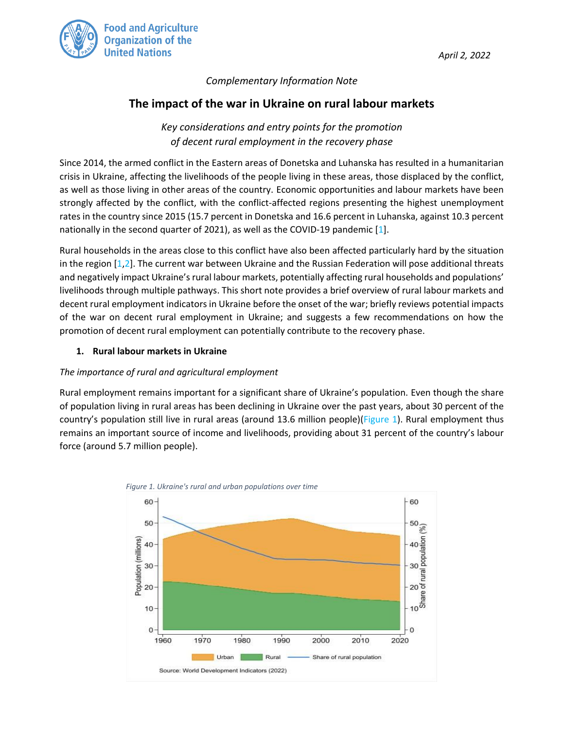

*April 2, 2022* 

## *Complementary Information Note*

# **The impact of the war in Ukraine on rural labour markets**

*Key considerations and entry points for the promotion of decent rural employment in the recovery phase*

Since 2014, the armed conflict in the Eastern areas of Donetska and Luhanska has resulted in a humanitarian crisis in Ukraine, affecting the livelihoods of the people living in these areas, those displaced by the conflict, as well as those living in other areas of the country. Economic opportunities and labour markets have been strongly affected by the conflict, with the conflict-affected regions presenting the highest unemployment rates in the country since 2015 (15.7 percent in Donetska and 16.6 percent in Luhanska, against 10.3 percent nationally in the second quarter of 2021), as well as the COVID-19 pandemic [1].

Rural households in the areas close to this conflict have also been affected particularly hard by the situation in the region [1,2]. The current war between Ukraine and the Russian Federation will pose additional threats and negatively impact Ukraine's rural labour markets, potentially affecting rural households and populations' livelihoods through multiple pathways. This short note provides a brief overview of rural labour markets and decent rural employment indicators in Ukraine before the onset of the war; briefly reviews potential impacts of the war on decent rural employment in Ukraine; and suggests a few recommendations on how the promotion of decent rural employment can potentially contribute to the recovery phase.

#### **1. Rural labour markets in Ukraine**

#### *The importance of rural and agricultural employment*

Rural employment remains important for a significant share of Ukraine's population. Even though the share of population living in rural areas has been declining in Ukraine over the past years, about 30 percent of the country's population still live in rural areas (around 13.6 million people)[\(Figure 1\)](#page-0-0). Rural employment thus remains an important source of income and livelihoods, providing about 31 percent of the country's labour force (around 5.7 million people).

<span id="page-0-0"></span>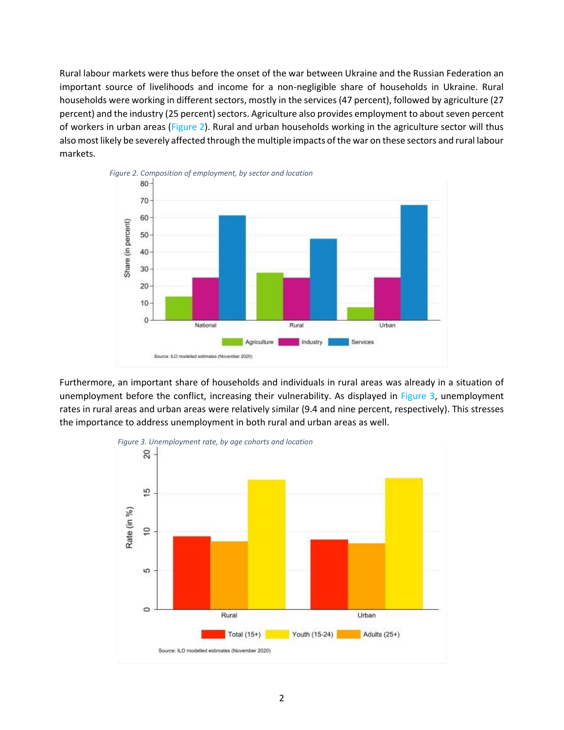Rural labour markets were thus before the onset of the war between Ukraine and the Russian Federation an important source of livelihoods and income for a non-negligible share of households in Ukraine. Rural households were working in different sectors, mostly in the services (47 percent), followed by agriculture (27 percent) and the industry (25 percent) sectors. Agriculture also provides employment to about seven percent of workers in urban areas [\(Figure 2\)](#page-1-0). Rural and urban households working in the agriculture sector will thus also most likely be severely affected through the multiple impacts of the war on these sectors and rural labour markets.

<span id="page-1-0"></span>

Furthermore, an important share of households and individuals in rural areas was already in a situation of unemployment before the conflict, increasing their vulnerability. As displayed in [Figure 3,](#page-1-1) unemployment rates in rural areas and urban areas were relatively similar (9.4 and nine percent, respectively). This stresses the importance to address unemployment in both rural and urban areas as well.

<span id="page-1-1"></span>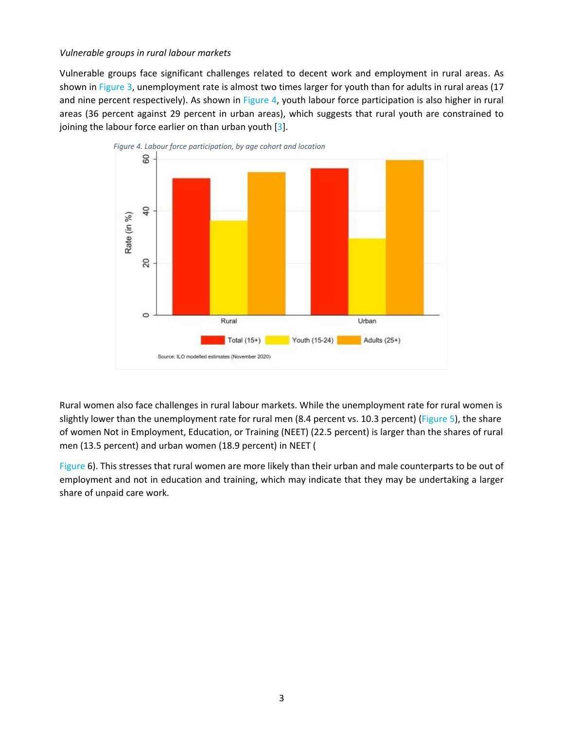#### *Vulnerable groups in rural labour markets*

Vulnerable groups face significant challenges related to decent work and employment in rural areas. As shown in [Figure 3,](#page-1-1) unemployment rate is almost two times larger for youth than for adults in rural areas (17 and nine percent respectively). As shown in [Figure 4,](#page-2-0) youth labour force participation is also higher in rural areas (36 percent against 29 percent in urban areas), which suggests that rural youth are constrained to joining the labour force earlier on than urban youth [3].

<span id="page-2-0"></span>

Rural women also face challenges in rural labour markets. While the unemployment rate for rural women is slightly lower than the unemployment rate for rural men (8.4 percent vs. 10.3 percent) [\(Figure 5\)](#page-3-0), the share of women Not in Employment, Education, or Training (NEET) (22.5 percent) is larger than the shares of rural men (13.5 percent) and urban women (18.9 percent) in NEET [\(](#page-3-1)

[Figure 6\)](#page-3-1). This stresses that rural women are more likely than their urban and male counterparts to be out of employment and not in education and training, which may indicate that they may be undertaking a larger share of unpaid care work.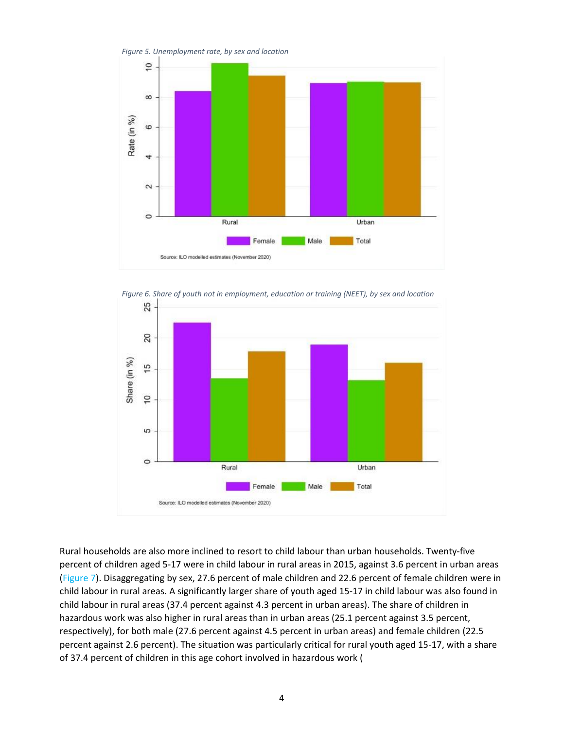<span id="page-3-0"></span>

<span id="page-3-1"></span>

Rural households are also more inclined to resort to child labour than urban households. Twenty-five percent of children aged 5-17 were in child labour in rural areas in 2015, against 3.6 percent in urban areas [\(Figure 7\)](#page-4-0). Disaggregating by sex, 27.6 percent of male children and 22.6 percent of female children were in child labour in rural areas. A significantly larger share of youth aged 15-17 in child labour was also found in child labour in rural areas (37.4 percent against 4.3 percent in urban areas). The share of children in hazardous work was also higher in rural areas than in urban areas (25.1 percent against 3.5 percent, respectively), for both male (27.6 percent against 4.5 percent in urban areas) and female children (22.5 percent against 2.6 percent). The situation was particularly critical for rural youth aged 15-17, with a share of 37.4 percent of children in this age cohort involved in hazardous work [\(](#page-4-1)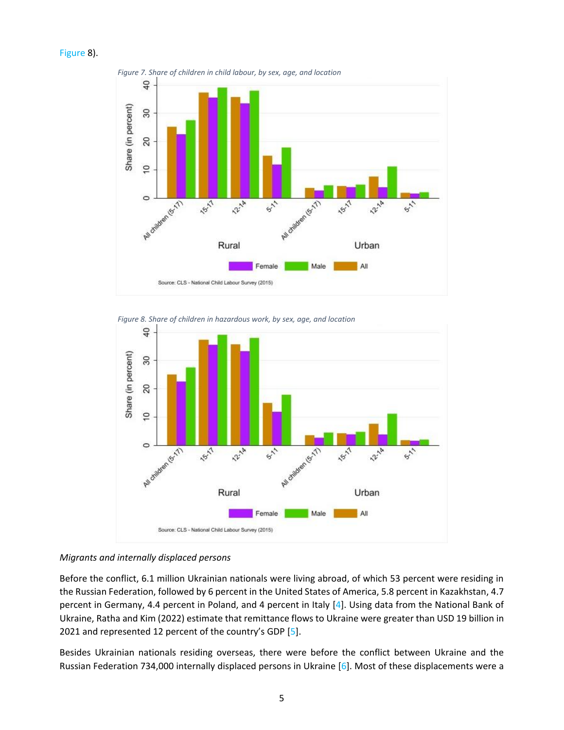<span id="page-4-0"></span>



*Figure 8. Share of children in hazardous work, by sex, age, and location*

<span id="page-4-1"></span>

#### *Migrants and internally displaced persons*

Before the conflict, 6.1 million Ukrainian nationals were living abroad, of which 53 percent were residing in the Russian Federation, followed by 6 percent in the United States of America, 5.8 percent in Kazakhstan, 4.7 percent in Germany, 4.4 percent in Poland, and 4 percent in Italy [4]. Using data from the National Bank of Ukraine, Ratha and Kim (2022) estimate that remittance flows to Ukraine were greater than USD 19 billion in 2021 and represented 12 percent of the country's GDP [5].

Besides Ukrainian nationals residing overseas, there were before the conflict between Ukraine and the Russian Federation 734,000 internally displaced persons in Ukraine [6]. Most of these displacements were a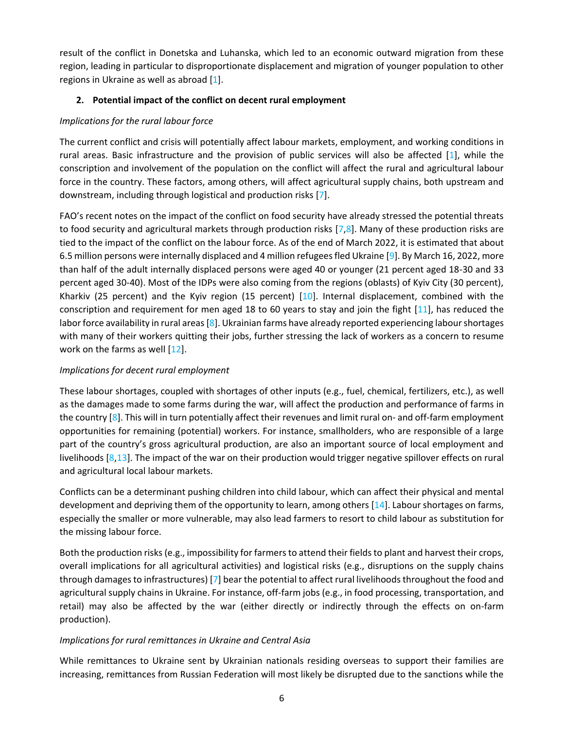result of the conflict in Donetska and Luhanska, which led to an economic outward migration from these region, leading in particular to disproportionate displacement and migration of younger population to other regions in Ukraine as well as abroad [1].

### **2. Potential impact of the conflict on decent rural employment**

## *Implications for the rural labour force*

The current conflict and crisis will potentially affect labour markets, employment, and working conditions in rural areas. Basic infrastructure and the provision of public services will also be affected [1], while the conscription and involvement of the population on the conflict will affect the rural and agricultural labour force in the country. These factors, among others, will affect agricultural supply chains, both upstream and downstream, including through logistical and production risks [7].

FAO's recent notes on the impact of the conflict on food security have already stressed the potential threats to food security and agricultural markets through production risks  $[7,8]$ . Many of these production risks are tied to the impact of the conflict on the labour force. As of the end of March 2022, it is estimated that about 6.5 million persons were internally displaced and 4 million refugees fled Ukraine [9]. By March 16, 2022, more than half of the adult internally displaced persons were aged 40 or younger (21 percent aged 18-30 and 33 percent aged 30-40). Most of the IDPs were also coming from the regions (oblasts) of Kyiv City (30 percent), Kharkiv (25 percent) and the Kyiv region (15 percent)  $[10]$ . Internal displacement, combined with the conscription and requirement for men aged 18 to 60 years to stay and join the fight [11], has reduced the labor force availability in rural areas [8]. Ukrainian farms have already reported experiencing labour shortages with many of their workers quitting their jobs, further stressing the lack of workers as a concern to resume work on the farms as well [12].

# *Implications for decent rural employment*

These labour shortages, coupled with shortages of other inputs (e.g., fuel, chemical, fertilizers, etc.), as well as the damages made to some farms during the war, will affect the production and performance of farms in the country  $[8]$ . This will in turn potentially affect their revenues and limit rural on- and off-farm employment opportunities for remaining (potential) workers. For instance, smallholders, who are responsible of a large part of the country's gross agricultural production, are also an important source of local employment and livelihoods [8,13]. The impact of the war on their production would trigger negative spillover effects on rural and agricultural local labour markets.

Conflicts can be a determinant pushing children into child labour, which can affect their physical and mental development and depriving them of the opportunity to learn, among others  $[14]$ . Labour shortages on farms, especially the smaller or more vulnerable, may also lead farmers to resort to child labour as substitution for the missing labour force.

Both the production risks (e.g., impossibility for farmers to attend their fields to plant and harvest their crops, overall implications for all agricultural activities) and logistical risks (e.g., disruptions on the supply chains through damages to infrastructures) [7] bear the potential to affect rural livelihoods throughout the food and agricultural supply chains in Ukraine. For instance, off-farm jobs (e.g., in food processing, transportation, and retail) may also be affected by the war (either directly or indirectly through the effects on on-farm production).

# *Implications for rural remittances in Ukraine and Central Asia*

While remittances to Ukraine sent by Ukrainian nationals residing overseas to support their families are increasing, remittances from Russian Federation will most likely be disrupted due to the sanctions while the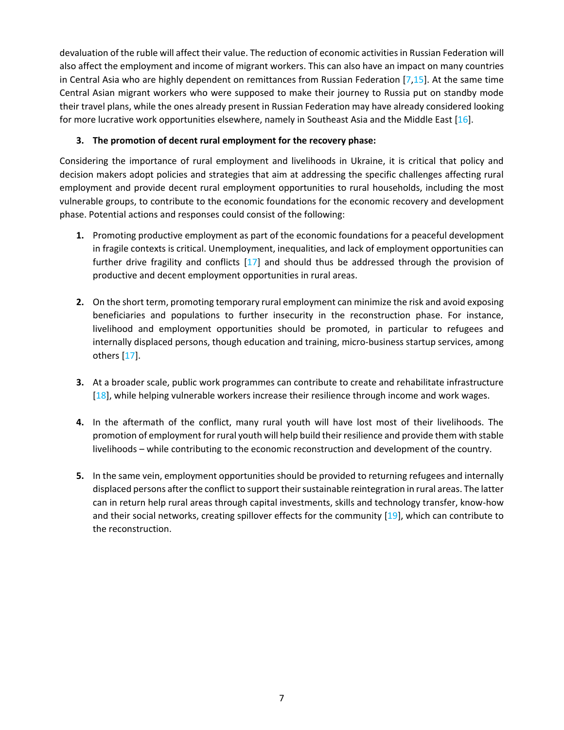devaluation of the ruble will affect their value. The reduction of economic activities in Russian Federation will also affect the employment and income of migrant workers. This can also have an impact on many countries in Central Asia who are highly dependent on remittances from Russian Federation [7,15]. At the same time Central Asian migrant workers who were supposed to make their journey to Russia put on standby mode their travel plans, while the ones already present in Russian Federation may have already considered looking for more lucrative work opportunities elsewhere, namely in Southeast Asia and the Middle East [16].

### **3. The promotion of decent rural employment for the recovery phase:**

Considering the importance of rural employment and livelihoods in Ukraine, it is critical that policy and decision makers adopt policies and strategies that aim at addressing the specific challenges affecting rural employment and provide decent rural employment opportunities to rural households, including the most vulnerable groups, to contribute to the economic foundations for the economic recovery and development phase. Potential actions and responses could consist of the following:

- **1.** Promoting productive employment as part of the economic foundations for a peaceful development in fragile contexts is critical. Unemployment, inequalities, and lack of employment opportunities can further drive fragility and conflicts [17] and should thus be addressed through the provision of productive and decent employment opportunities in rural areas.
- **2.** On the short term, promoting temporary rural employment can minimize the risk and avoid exposing beneficiaries and populations to further insecurity in the reconstruction phase. For instance, livelihood and employment opportunities should be promoted, in particular to refugees and internally displaced persons, though education and training, micro-business startup services, among others [17].
- **3.** At a broader scale, public work programmes can contribute to create and rehabilitate infrastructure [18], while helping vulnerable workers increase their resilience through income and work wages.
- **4.** In the aftermath of the conflict, many rural youth will have lost most of their livelihoods. The promotion of employment for rural youth will help build their resilience and provide them with stable livelihoods – while contributing to the economic reconstruction and development of the country.
- **5.** In the same vein, employment opportunities should be provided to returning refugees and internally displaced persons after the conflict to support their sustainable reintegration in rural areas. The latter can in return help rural areas through capital investments, skills and technology transfer, know-how and their social networks, creating spillover effects for the community [19], which can contribute to the reconstruction.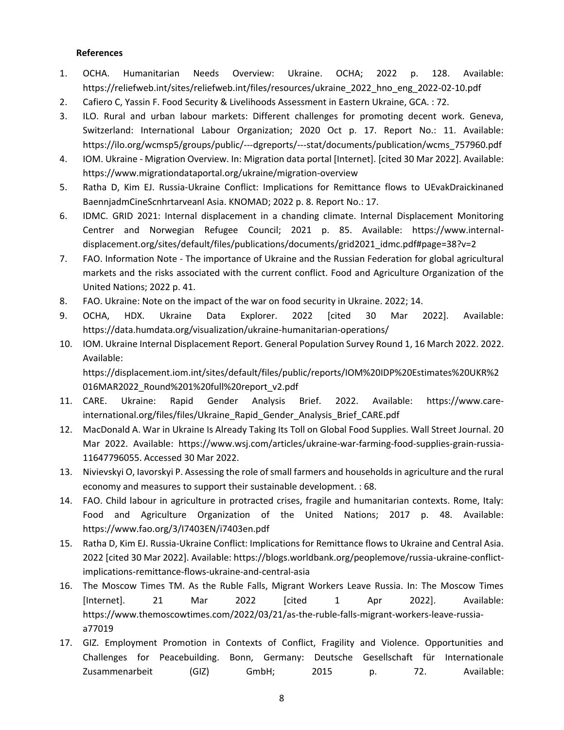#### **References**

- 1. OCHA. Humanitarian Needs Overview: Ukraine. OCHA; 2022 p. 128. Available: https://reliefweb.int/sites/reliefweb.int/files/resources/ukraine\_2022\_hno\_eng\_2022-02-10.pdf
- 2. Cafiero C, Yassin F. Food Security & Livelihoods Assessment in Eastern Ukraine, GCA. : 72.
- 3. ILO. Rural and urban labour markets: Different challenges for promoting decent work. Geneva, Switzerland: International Labour Organization; 2020 Oct p. 17. Report No.: 11. Available: https://ilo.org/wcmsp5/groups/public/---dgreports/---stat/documents/publication/wcms\_757960.pdf
- 4. IOM. Ukraine Migration Overview. In: Migration data portal [Internet]. [cited 30 Mar 2022]. Available: https://www.migrationdataportal.org/ukraine/migration-overview
- 5. Ratha D, Kim EJ. Russia-Ukraine Conflict: Implications for Remittance flows to UEvakDraickinaned BaennjadmCineScnhrtarveanl Asia. KNOMAD; 2022 p. 8. Report No.: 17.
- 6. IDMC. GRID 2021: Internal displacement in a chanding climate. Internal Displacement Monitoring Centrer and Norwegian Refugee Council; 2021 p. 85. Available: https://www.internaldisplacement.org/sites/default/files/publications/documents/grid2021\_idmc.pdf#page=38?v=2
- 7. FAO. Information Note The importance of Ukraine and the Russian Federation for global agricultural markets and the risks associated with the current conflict. Food and Agriculture Organization of the United Nations; 2022 p. 41.
- 8. FAO. Ukraine: Note on the impact of the war on food security in Ukraine. 2022; 14.
- 9. OCHA, HDX. Ukraine Data Explorer. 2022 [cited 30 Mar 2022]. Available: https://data.humdata.org/visualization/ukraine-humanitarian-operations/
- 10. IOM. Ukraine Internal Displacement Report. General Population Survey Round 1, 16 March 2022. 2022. Available:

https://displacement.iom.int/sites/default/files/public/reports/IOM%20IDP%20Estimates%20UKR%2 016MAR2022\_Round%201%20full%20report\_v2.pdf

- 11. CARE. Ukraine: Rapid Gender Analysis Brief. 2022. Available: https://www.careinternational.org/files/files/Ukraine\_Rapid\_Gender\_Analysis\_Brief\_CARE.pdf
- 12. MacDonald A. War in Ukraine Is Already Taking Its Toll on Global Food Supplies. Wall Street Journal. 20 Mar 2022. Available: https://www.wsj.com/articles/ukraine-war-farming-food-supplies-grain-russia-11647796055. Accessed 30 Mar 2022.
- 13. Nivievskyi O, Iavorskyi P. Assessing the role of small farmers and households in agriculture and the rural economy and measures to support their sustainable development. : 68.
- 14. FAO. Child labour in agriculture in protracted crises, fragile and humanitarian contexts. Rome, Italy: Food and Agriculture Organization of the United Nations; 2017 p. 48. Available: https://www.fao.org/3/I7403EN/i7403en.pdf
- 15. Ratha D, Kim EJ. Russia-Ukraine Conflict: Implications for Remittance flows to Ukraine and Central Asia. 2022 [cited 30 Mar 2022]. Available: https://blogs.worldbank.org/peoplemove/russia-ukraine-conflictimplications-remittance-flows-ukraine-and-central-asia
- 16. The Moscow Times TM. As the Ruble Falls, Migrant Workers Leave Russia. In: The Moscow Times [Internet]. 21 Mar 2022 [cited 1 Apr 2022]. Available: https://www.themoscowtimes.com/2022/03/21/as-the-ruble-falls-migrant-workers-leave-russiaa77019
- 17. GIZ. Employment Promotion in Contexts of Conflict, Fragility and Violence. Opportunities and Challenges for Peacebuilding. Bonn, Germany: Deutsche Gesellschaft für Internationale Zusammenarbeit (GIZ) GmbH; 2015 p. 72. Available: